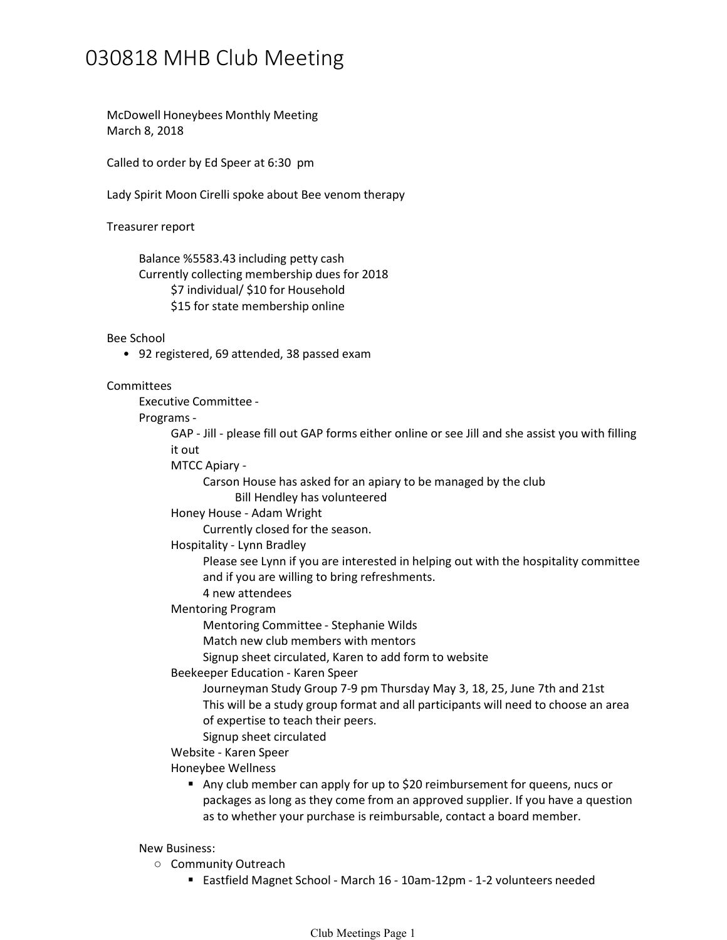## 030818 MHB Club Meeting

McDowell Honeybees Monthly Meeting March 8, 2018

Called to order by Ed Speer at 6:30 pm

Lady Spirit Moon Cirelli spoke about Bee venom therapy

Treasurer report

Balance %5583.43 including petty cash \$7 individual/ \$10 for Household \$15 for state membership online Currently collecting membership dues for 2018

Bee School

• 92 registered, 69 attended, 38 passed exam

Committees<br>Executive Committee -

Programs -<br>GAP - Jill - please fill out GAP forms either online or see Jill and she assist you with filling it out

MTCC Apiary -

Carson House has asked for an apiary to be managed by the club

Bill Hendley has volunteered

Honey House - Adam Wright

Currently closed for the season.

Hospitality - Lynn Bradley

Please see Lynn if you are interested in helping out with the hospitality committee and if you are willing to bring refreshments.

- 4 new attendees
- Mentoring Program

Mentoring Committee - Stephanie Wilds

Match new club members with mentors

Signup sheet circulated, Karen to add form to website

Beekeeper Education - Karen Speer

Journeyman Study Group 7-9 pm Thursday May 3, 18, 25, June 7th and 21st This will be a study group format and all participants will need to choose an area of expertise to teach their peers.

Signup sheet circulated

Website - Karen Speer

Honeybee Wellness

 Any club member can apply for up to \$20 reimbursement for queens, nucs or packages as long as they come from an approved supplier. If you have a question as to whether your purchase is reimbursable, contact a board member.

## New Business:

- **O** Community Outreach **Community** Outreach
	- Eastfield Magnet School March 16 10am-12pm 1-2 volunteers needed